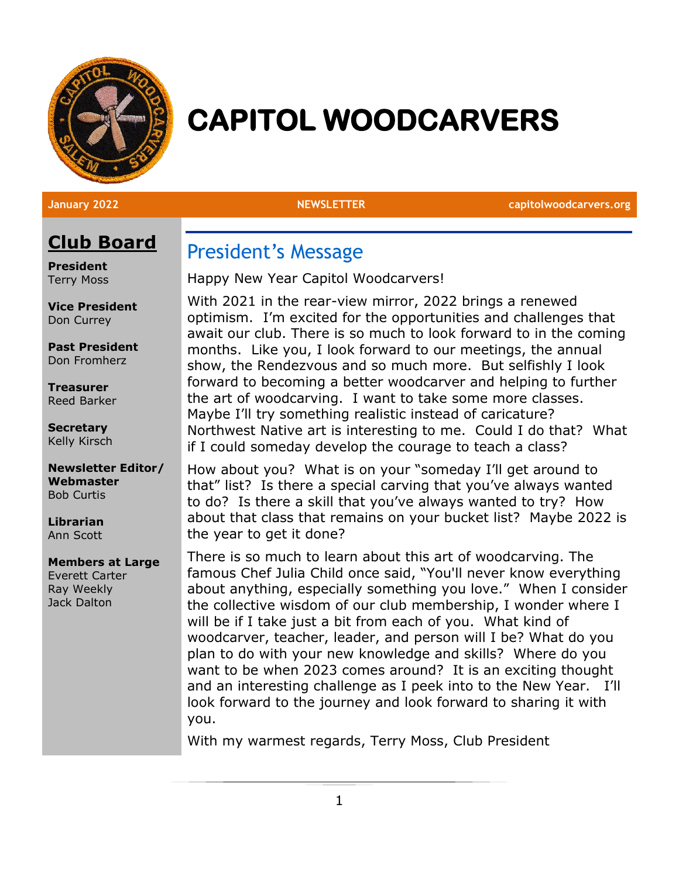

# **CAPITOL WOODCARVERS**

**January 2022 NEWSLETTER capitolwoodcarvers.org**

# **Club Board**

**President** Terry Moss

**Vice President** Don Currey

**Past President** Don Fromherz

**Treasurer** Reed Barker

**Secretary** Kelly Kirsch

**Newsletter Editor/ Webmaster** Bob Curtis

**Librarian** Ann Scott

#### **Members at Large**

Everett Carter Ray Weekly Jack Dalton

# President's Message

Happy New Year Capitol Woodcarvers!

With 2021 in the rear-view mirror, 2022 brings a renewed optimism. I'm excited for the opportunities and challenges that await our club. There is so much to look forward to in the coming months. Like you, I look forward to our meetings, the annual show, the Rendezvous and so much more. But selfishly I look forward to becoming a better woodcarver and helping to further the art of woodcarving. I want to take some more classes. Maybe I'll try something realistic instead of caricature? Northwest Native art is interesting to me. Could I do that? What if I could someday develop the courage to teach a class?

How about you? What is on your "someday I'll get around to that" list? Is there a special carving that you've always wanted to do? Is there a skill that you've always wanted to try? How about that class that remains on your bucket list? Maybe 2022 is the year to get it done?

There is so much to learn about this art of woodcarving. The famous Chef Julia Child once said, "You'll never know everything about anything, especially something you love." When I consider the collective wisdom of our club membership, I wonder where I will be if I take just a bit from each of you. What kind of woodcarver, teacher, leader, and person will I be? What do you plan to do with your new knowledge and skills? Where do you want to be when 2023 comes around? It is an exciting thought and an interesting challenge as I peek into to the New Year. I'll look forward to the journey and look forward to sharing it with you.

With my warmest regards, Terry Moss, Club President

1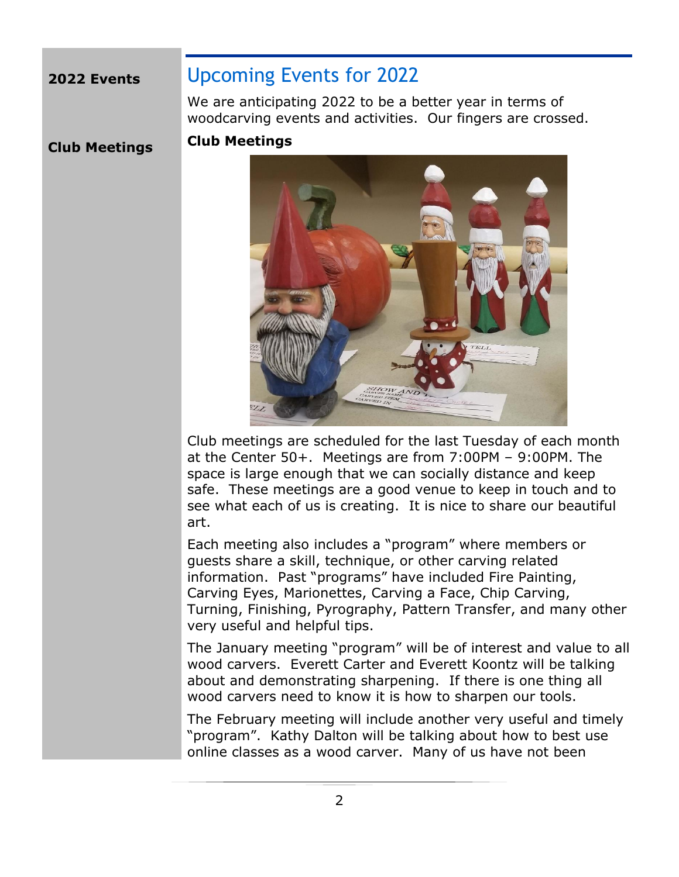#### **2022 Events**

# Upcoming Events for 2022

We are anticipating 2022 to be a better year in terms of woodcarving events and activities. Our fingers are crossed.

**Club Meetings**

#### **Club Meetings**



Club meetings are scheduled for the last Tuesday of each month at the Center 50+. Meetings are from 7:00PM – 9:00PM. The space is large enough that we can socially distance and keep safe. These meetings are a good venue to keep in touch and to see what each of us is creating. It is nice to share our beautiful art.

Each meeting also includes a "program" where members or guests share a skill, technique, or other carving related information. Past "programs" have included Fire Painting, Carving Eyes, Marionettes, Carving a Face, Chip Carving, Turning, Finishing, Pyrography, Pattern Transfer, and many other very useful and helpful tips.

The January meeting "program" will be of interest and value to all wood carvers. Everett Carter and Everett Koontz will be talking about and demonstrating sharpening. If there is one thing all wood carvers need to know it is how to sharpen our tools.

The February meeting will include another very useful and timely "program". Kathy Dalton will be talking about how to best use online classes as a wood carver. Many of us have not been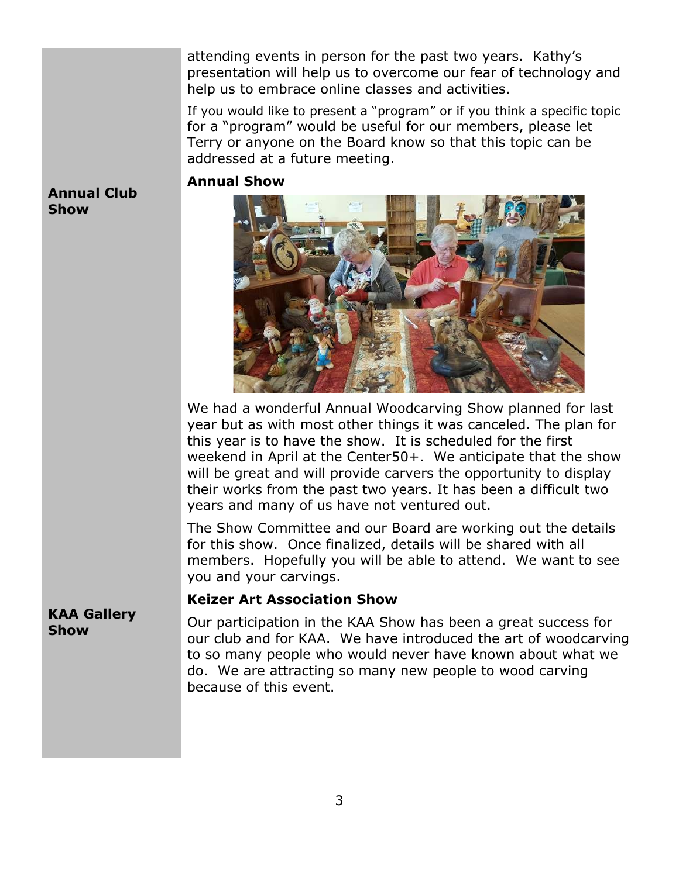attending events in person for the past two years. Kathy's presentation will help us to overcome our fear of technology and help us to embrace online classes and activities.

If you would like to present a "program" or if you think a specific topic for a "program" would be useful for our members, please let Terry or anyone on the Board know so that this topic can be addressed at a future meeting.

#### **Annual Show**



We had a wonderful Annual Woodcarving Show planned for last year but as with most other things it was canceled. The plan for this year is to have the show. It is scheduled for the first weekend in April at the Center50+. We anticipate that the show will be great and will provide carvers the opportunity to display their works from the past two years. It has been a difficult two years and many of us have not ventured out.

The Show Committee and our Board are working out the details for this show. Once finalized, details will be shared with all members. Hopefully you will be able to attend. We want to see you and your carvings.

#### **Keizer Art Association Show**

**KAA Gallery Show**

**Annual Club** 

**Show**

Our participation in the KAA Show has been a great success for our club and for KAA. We have introduced the art of woodcarving to so many people who would never have known about what we do. We are attracting so many new people to wood carving because of this event.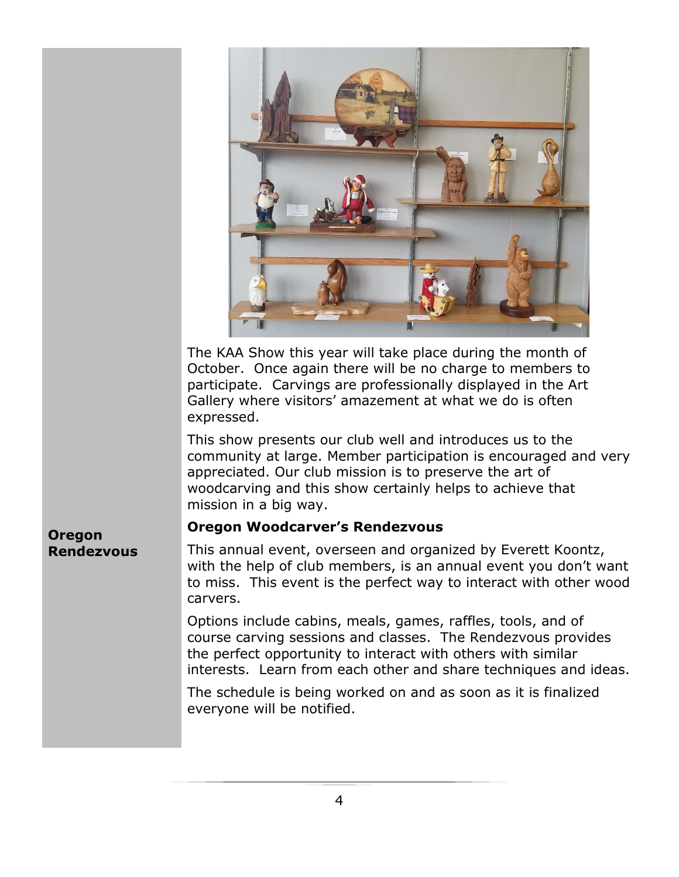

The KAA Show this year will take place during the month of October. Once again there will be no charge to members to participate. Carvings are professionally displayed in the Art Gallery where visitors' amazement at what we do is often expressed.

This show presents our club well and introduces us to the community at large. Member participation is encouraged and very appreciated. Our club mission is to preserve the art of woodcarving and this show certainly helps to achieve that mission in a big way.

#### **Oregon Woodcarver's Rendezvous**

This annual event, overseen and organized by Everett Koontz, with the help of club members, is an annual event you don't want to miss. This event is the perfect way to interact with other wood carvers.

Options include cabins, meals, games, raffles, tools, and of course carving sessions and classes. The Rendezvous provides the perfect opportunity to interact with others with similar interests. Learn from each other and share techniques and ideas.

The schedule is being worked on and as soon as it is finalized everyone will be notified.

**Oregon Rendezvous**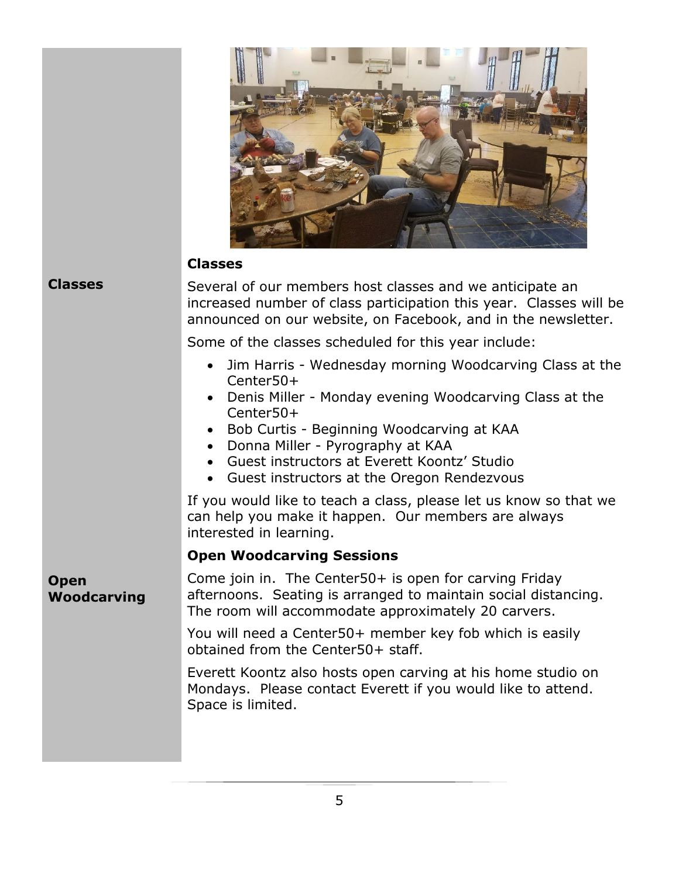

#### **Classes**

**Classes**

Several of our members host classes and we anticipate an increased number of class participation this year. Classes will be announced on our website, on Facebook, and in the newsletter.

Some of the classes scheduled for this year include:

- Jim Harris Wednesday morning Woodcarving Class at the Center50+
- Denis Miller Monday evening Woodcarving Class at the Center50+
- Bob Curtis Beginning Woodcarving at KAA
- Donna Miller Pyrography at KAA
- Guest instructors at Everett Koontz' Studio
- Guest instructors at the Oregon Rendezvous

If you would like to teach a class, please let us know so that we can help you make it happen. Our members are always interested in learning.

#### **Open Woodcarving Sessions**

**Open Woodcarving**

Come join in. The Center50+ is open for carving Friday afternoons. Seating is arranged to maintain social distancing. The room will accommodate approximately 20 carvers.

> You will need a Center50+ member key fob which is easily obtained from the Center50+ staff.

Everett Koontz also hosts open carving at his home studio on Mondays. Please contact Everett if you would like to attend. Space is limited.

5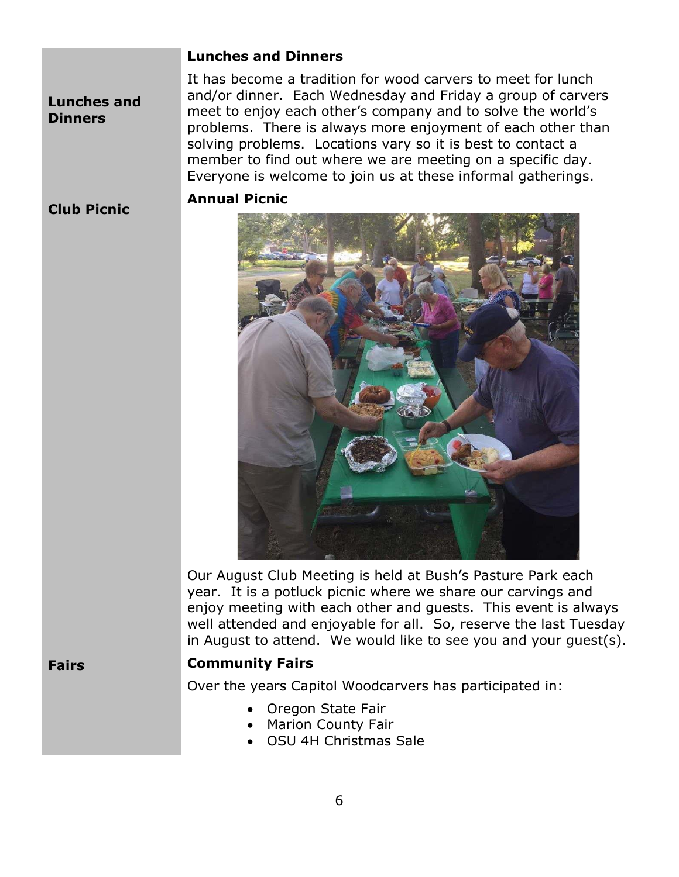#### **Lunches and Dinners**

**Lunches and Dinners**

It has become a tradition for wood carvers to meet for lunch and/or dinner. Each Wednesday and Friday a group of carvers meet to enjoy each other's company and to solve the world's problems. There is always more enjoyment of each other than solving problems. Locations vary so it is best to contact a member to find out where we are meeting on a specific day. Everyone is welcome to join us at these informal gatherings.

#### **Club Picnic**

#### **Annual Picnic**



Our August Club Meeting is held at Bush's Pasture Park each year. It is a potluck picnic where we share our carvings and enjoy meeting with each other and guests. This event is always well attended and enjoyable for all. So, reserve the last Tuesday in August to attend. We would like to see you and your guest(s).

**Fairs**

#### **Community Fairs**

Over the years Capitol Woodcarvers has participated in:

- Oregon State Fair
- Marion County Fair
- OSU 4H Christmas Sale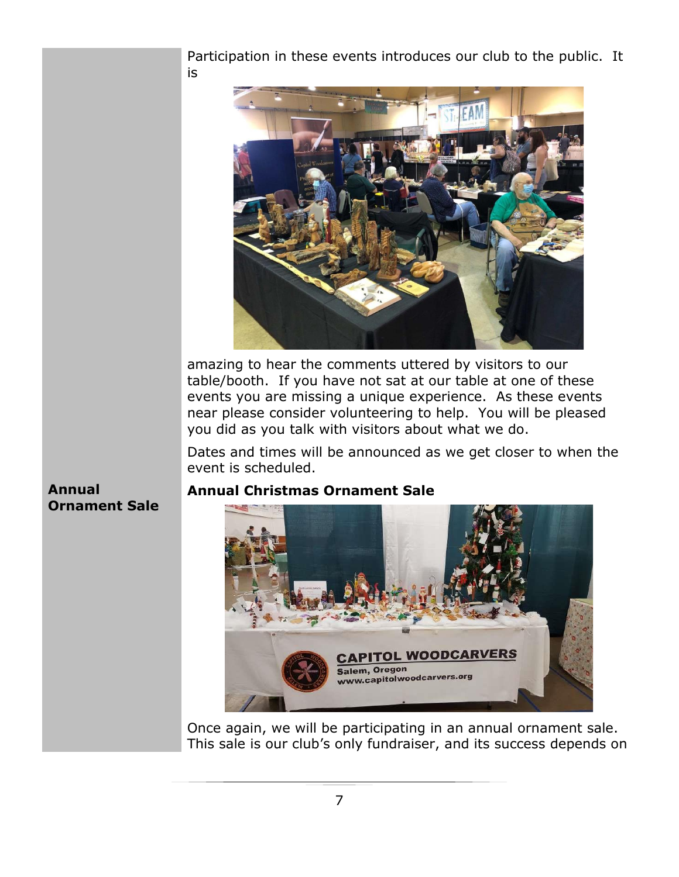Participation in these events introduces our club to the public. It is



amazing to hear the comments uttered by visitors to our table/booth. If you have not sat at our table at one of these events you are missing a unique experience. As these events near please consider volunteering to help. You will be pleased you did as you talk with visitors about what we do.

Dates and times will be announced as we get closer to when the event is scheduled.

#### **Annual Ornament Sale**

#### **Annual Christmas Ornament Sale**



Once again, we will be participating in an annual ornament sale. This sale is our club's only fundraiser, and its success depends on